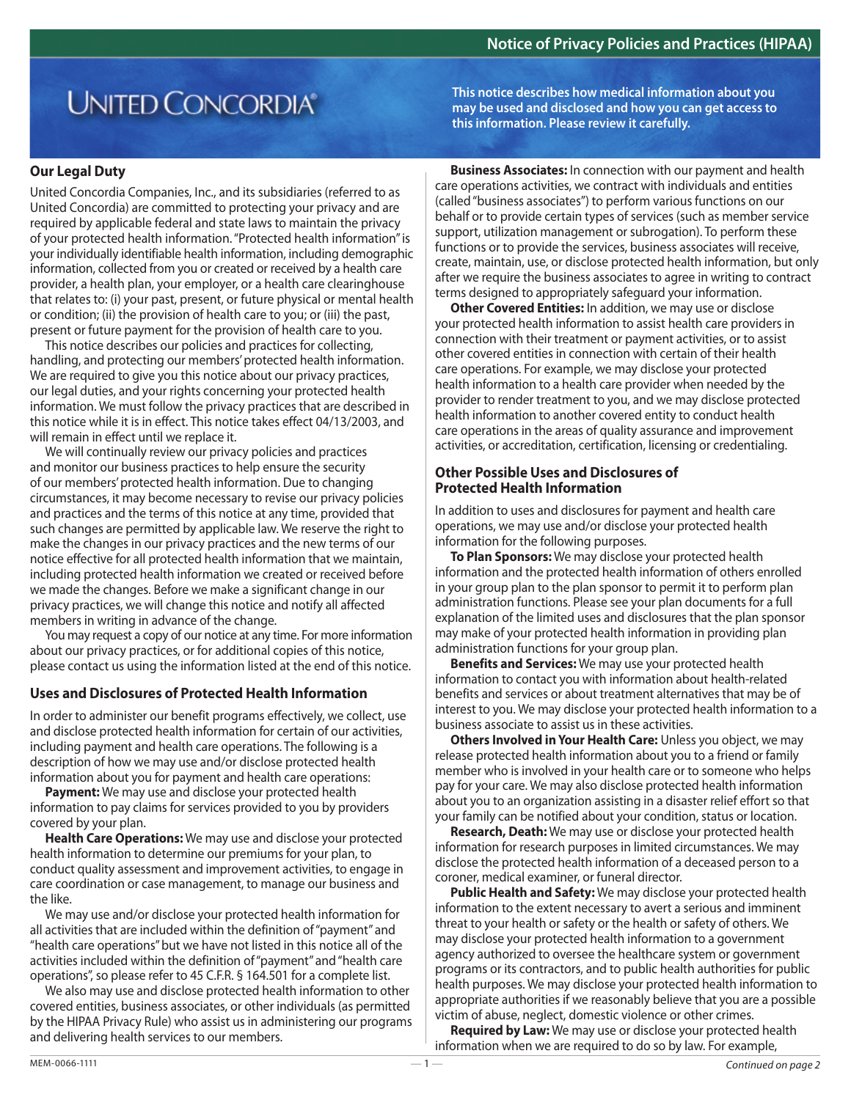# **UNITED CONCORDIA®**

## **Our Legal Duty**

United Concordia Companies, Inc., and its subsidiaries (referred to as United Concordia) are committed to protecting your privacy and are required by applicable federal and state laws to maintain the privacy of your protected health information. "Protected health information" is your individually identifiable health information, including demographic information, collected from you or created or received by a health care provider, a health plan, your employer, or a health care clearinghouse that relates to: (i) your past, present, or future physical or mental health or condition; (ii) the provision of health care to you; or (iii) the past, present or future payment for the provision of health care to you.

This notice describes our policies and practices for collecting, handling, and protecting our members' protected health information. We are required to give you this notice about our privacy practices, our legal duties, and your rights concerning your protected health information. We must follow the privacy practices that are described in this notice while it is in effect. This notice takes effect 04/13/2003, and will remain in effect until we replace it.

We will continually review our privacy policies and practices and monitor our business practices to help ensure the security of our members' protected health information. Due to changing circumstances, it may become necessary to revise our privacy policies and practices and the terms of this notice at any time, provided that such changes are permitted by applicable law. We reserve the right to make the changes in our privacy practices and the new terms of our notice effective for all protected health information that we maintain, including protected health information we created or received before we made the changes. Before we make a significant change in our privacy practices, we will change this notice and notify all affected members in writing in advance of the change.

You may request a copy of our notice at any time. For more information about our privacy practices, or for additional copies of this notice, please contact us using the information listed at the end of this notice.

# **Uses and Disclosures of Protected Health Information**

In order to administer our benefit programs effectively, we collect, use and disclose protected health information for certain of our activities, including payment and health care operations. The following is a description of how we may use and/or disclose protected health information about you for payment and health care operations:

**Payment:** We may use and disclose your protected health information to pay claims for services provided to you by providers covered by your plan.

**Health Care Operations:** We may use and disclose your protected health information to determine our premiums for your plan, to conduct quality assessment and improvement activities, to engage in care coordination or case management, to manage our business and the like.

We may use and/or disclose your protected health information for all activities that are included within the definition of "payment" and "health care operations" but we have not listed in this notice all of the activities included within the definition of "payment" and "health care operations", so please refer to 45 C.F.R. § 164.501 for a complete list.

We also may use and disclose protected health information to other covered entities, business associates, or other individuals (as permitted by the HIPAA Privacy Rule) who assist us in administering our programs and delivering health services to our members.

**This notice describes how medical information about you may be used and disclosed and how you can get access to this information. Please review it carefully.**

**Business Associates:** In connection with our payment and health care operations activities, we contract with individuals and entities (called "business associates") to perform various functions on our behalf or to provide certain types of services (such as member service support, utilization management or subrogation). To perform these functions or to provide the services, business associates will receive, create, maintain, use, or disclose protected health information, but only after we require the business associates to agree in writing to contract terms designed to appropriately safeguard your information.

**Other Covered Entities:** In addition, we may use or disclose your protected health information to assist health care providers in connection with their treatment or payment activities, or to assist other covered entities in connection with certain of their health care operations. For example, we may disclose your protected health information to a health care provider when needed by the provider to render treatment to you, and we may disclose protected health information to another covered entity to conduct health care operations in the areas of quality assurance and improvement activities, or accreditation, certification, licensing or credentialing.

#### **Other Possible Uses and Disclosures of Protected Health Information**

In addition to uses and disclosures for payment and health care operations, we may use and/or disclose your protected health information for the following purposes.

**To Plan Sponsors:** We may disclose your protected health information and the protected health information of others enrolled in your group plan to the plan sponsor to permit it to perform plan administration functions. Please see your plan documents for a full explanation of the limited uses and disclosures that the plan sponsor may make of your protected health information in providing plan administration functions for your group plan.

**Benefits and Services:** We may use your protected health information to contact you with information about health-related benefits and services or about treatment alternatives that may be of interest to you. We may disclose your protected health information to a business associate to assist us in these activities.

**Others Involved in Your Health Care:** Unless you object, we may release protected health information about you to a friend or family member who is involved in your health care or to someone who helps pay for your care. We may also disclose protected health information about you to an organization assisting in a disaster relief effort so that your family can be notified about your condition, status or location.

**Research, Death:** We may use or disclose your protected health information for research purposes in limited circumstances. We may disclose the protected health information of a deceased person to a coroner, medical examiner, or funeral director.

**Public Health and Safety:** We may disclose your protected health information to the extent necessary to avert a serious and imminent threat to your health or safety or the health or safety of others. We may disclose your protected health information to a government agency authorized to oversee the healthcare system or government programs or its contractors, and to public health authorities for public health purposes. We may disclose your protected health information to appropriate authorities if we reasonably believe that you are a possible victim of abuse, neglect, domestic violence or other crimes.

**Required by Law:** We may use or disclose your protected health information when we are required to do so by law. For example,